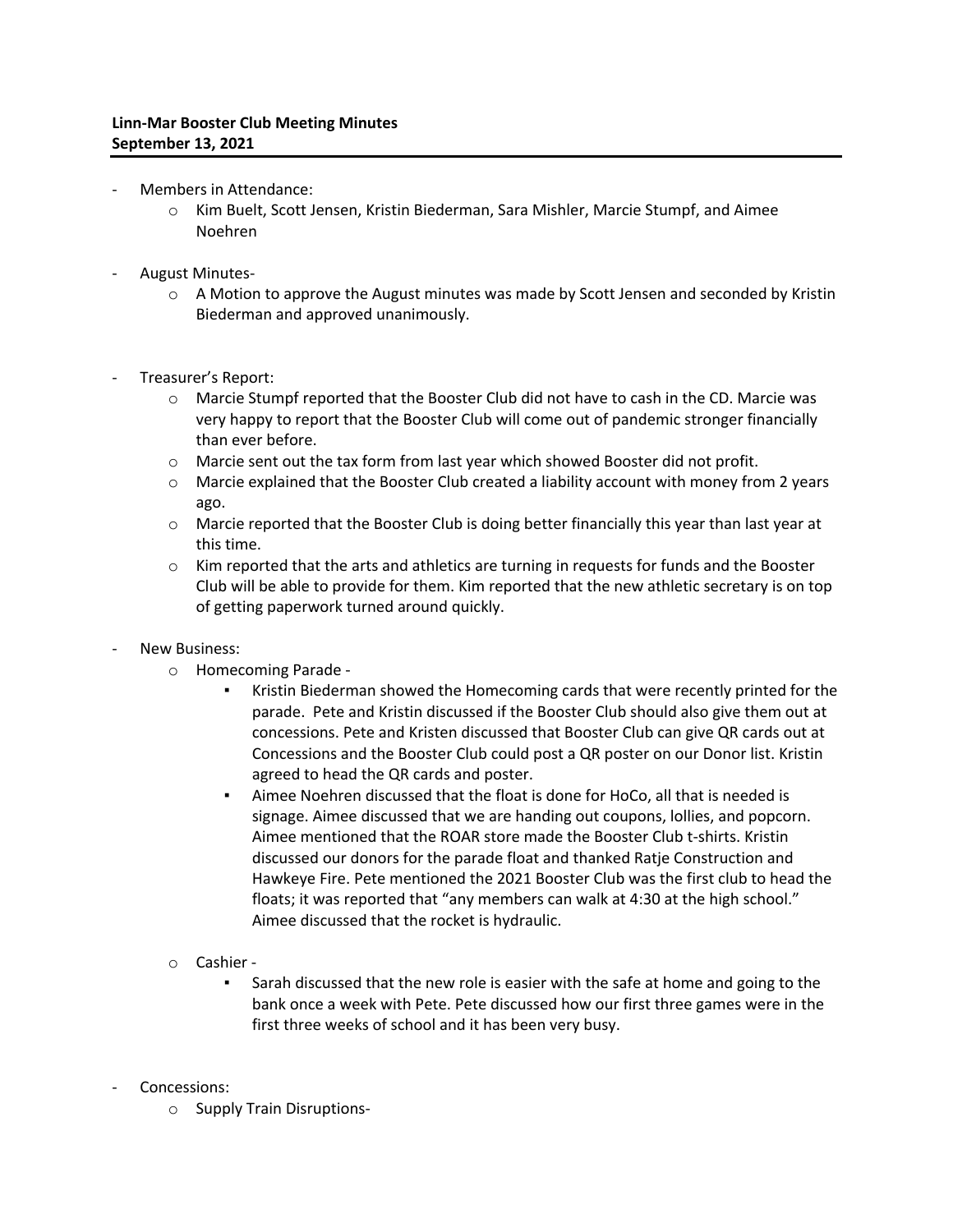- Members in Attendance:
	- o Kim Buelt, Scott Jensen, Kristin Biederman, Sara Mishler, Marcie Stumpf, and Aimee Noehren
- August Minutes-
	- $\circ$  A Motion to approve the August minutes was made by Scott Jensen and seconded by Kristin Biederman and approved unanimously.
- Treasurer's Report:
	- $\circ$  Marcie Stumpf reported that the Booster Club did not have to cash in the CD. Marcie was very happy to report that the Booster Club will come out of pandemic stronger financially than ever before.
	- $\circ$  Marcie sent out the tax form from last year which showed Booster did not profit.
	- o Marcie explained that the Booster Club created a liability account with money from 2 years ago.
	- $\circ$  Marcie reported that the Booster Club is doing better financially this year than last year at this time.
	- $\circ$  Kim reported that the arts and athletics are turning in requests for funds and the Booster Club will be able to provide for them. Kim reported that the new athletic secretary is on top of getting paperwork turned around quickly.
- New Business:
	- o Homecoming Parade
		- Kristin Biederman showed the Homecoming cards that were recently printed for the parade. Pete and Kristin discussed if the Booster Club should also give them out at concessions. Pete and Kristen discussed that Booster Club can give QR cards out at Concessions and the Booster Club could post a QR poster on our Donor list. Kristin agreed to head the QR cards and poster.
		- Aimee Noehren discussed that the float is done for HoCo, all that is needed is signage. Aimee discussed that we are handing out coupons, lollies, and popcorn. Aimee mentioned that the ROAR store made the Booster Club t-shirts. Kristin discussed our donors for the parade float and thanked Ratje Construction and Hawkeye Fire. Pete mentioned the 2021 Booster Club was the first club to head the floats; it was reported that "any members can walk at 4:30 at the high school." Aimee discussed that the rocket is hydraulic.
	- o Cashier
		- **EXEC** Sarah discussed that the new role is easier with the safe at home and going to the bank once a week with Pete. Pete discussed how our first three games were in the first three weeks of school and it has been very busy.
- Concessions:
	- o Supply Train Disruptions-